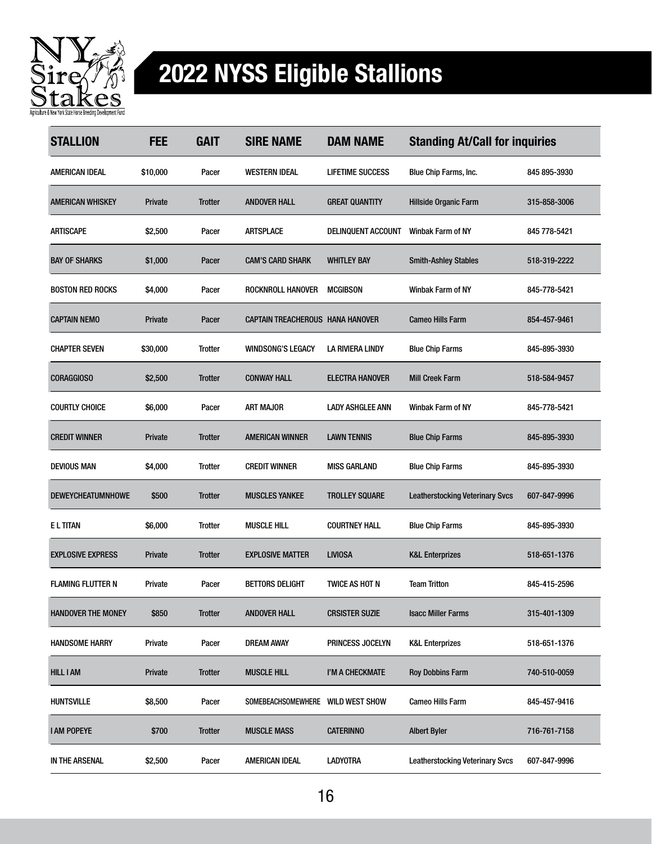

## 2022 NYSS Eligible Stallions

| <b>STALLION</b>           | <b>FEE</b>     | <b>GAIT</b>    | <b>SIRE NAME</b>                        | <b>DAM NAME</b>         | <b>Standing At/Call for inquiries</b>  |              |
|---------------------------|----------------|----------------|-----------------------------------------|-------------------------|----------------------------------------|--------------|
| AMERICAN IDEAL            | \$10,000       | Pacer          | <b>WESTERN IDEAL</b>                    | <b>LIFETIME SUCCESS</b> | Blue Chip Farms, Inc.                  | 845 895-3930 |
| <b>AMERICAN WHISKEY</b>   | <b>Private</b> | Trotter        | <b>ANDOVER HALL</b>                     | <b>GREAT QUANTITY</b>   | Hillside Organic Farm                  | 315-858-3006 |
| ARTISCAPE                 | \$2,500        | Pacer          | <b>ARTSPLACE</b>                        | DELINQUENT ACCOUNT      | <b>Winbak Farm of NY</b>               | 845 778-5421 |
| <b>BAY OF SHARKS</b>      | \$1,000        | Pacer          | <b>CAM'S CARD SHARK</b>                 | <b>WHITLEY BAY</b>      | <b>Smith-Ashley Stables</b>            | 518-319-2222 |
| <b>BOSTON RED ROCKS</b>   | \$4,000        | Pacer          | ROCKNROLL HANOVER                       | <b>MCGIBSON</b>         | <b>Winbak Farm of NY</b>               | 845-778-5421 |
| <b>CAPTAIN NEMO</b>       | <b>Private</b> | Pacer          | <b>CAPTAIN TREACHEROUS HANA HANOVER</b> |                         | <b>Cameo Hills Farm</b>                | 854-457-9461 |
| <b>CHAPTER SEVEN</b>      | \$30,000       | Trotter        | <b>WINDSONG'S LEGACY</b>                | LA RIVIERA LINDY        | <b>Blue Chip Farms</b>                 | 845-895-3930 |
| <b>CORAGGIOSO</b>         | \$2,500        | <b>Trotter</b> | <b>CONWAY HALL</b>                      | <b>ELECTRA HANOVER</b>  | <b>Mill Creek Farm</b>                 | 518-584-9457 |
| <b>COURTLY CHOICE</b>     | \$6,000        | Pacer          | ART MAJOR                               | <b>LADY ASHGLEE ANN</b> | Winbak Farm of NY                      | 845-778-5421 |
| <b>CREDIT WINNER</b>      | <b>Private</b> | <b>Trotter</b> | <b>AMERICAN WINNER</b>                  | <b>LAWN TENNIS</b>      | <b>Blue Chip Farms</b>                 | 845-895-3930 |
| <b>DEVIOUS MAN</b>        | \$4,000        | Trotter        | <b>CREDIT WINNER</b>                    | <b>MISS GARLAND</b>     | <b>Blue Chip Farms</b>                 | 845-895-3930 |
| DEWEYCHEATUMNHOWE         | \$500          | Trotter        | <b>MUSCLES YANKEE</b>                   | <b>TROLLEY SQUARE</b>   | <b>Leatherstocking Veterinary Svcs</b> | 607-847-9996 |
| <b>ELTITAN</b>            | \$6,000        | Trotter        | <b>MUSCLE HILL</b>                      | <b>COURTNEY HALL</b>    | <b>Blue Chip Farms</b>                 | 845-895-3930 |
| <b>EXPLOSIVE EXPRESS</b>  | <b>Private</b> | <b>Trotter</b> | <b>EXPLOSIVE MATTER</b>                 | <b>LIVIOSA</b>          | <b>K&amp;L Enterprizes</b>             | 518-651-1376 |
| <b>FLAMING FLUTTER N</b>  | Private        | Pacer          | <b>BETTORS DELIGHT</b>                  | TWICE AS HOT N          | <b>Team Tritton</b>                    | 845-415-2596 |
| <b>HANDOVER THE MONEY</b> | \$850          | <b>Trotter</b> | ANDOVER HALL                            | <b>CRSISTER SUZIE</b>   | <b>Isacc Miller Farms</b>              | 315-401-1309 |
| <b>HANDSOME HARRY</b>     | Private        | Pacer          | <b>DREAM AWAY</b>                       | PRINCESS JOCELYN        | <b>K&amp;L Enterprizes</b>             | 518-651-1376 |
| <b>HILL I AM</b>          | Private        | <b>Trotter</b> | <b>MUSCLE HILL</b>                      | I'M A CHECKMATE         | <b>Roy Dobbins Farm</b>                | 740-510-0059 |
| <b>HUNTSVILLE</b>         | \$8,500        | Pacer          | SOMEBEACHSOMEWHERE WILD WEST SHOW       |                         | <b>Cameo Hills Farm</b>                | 845-457-9416 |
| <b>I AM POPEYE</b>        | \$700          | <b>Trotter</b> | <b>MUSCLE MASS</b>                      | <b>CATERINNO</b>        | <b>Albert Byler</b>                    | 716-761-7158 |
| IN THE ARSENAL            | \$2,500        | Pacer          | AMERICAN IDEAL                          | <b>LADYOTRA</b>         | <b>Leatherstocking Veterinary Svcs</b> | 607-847-9996 |